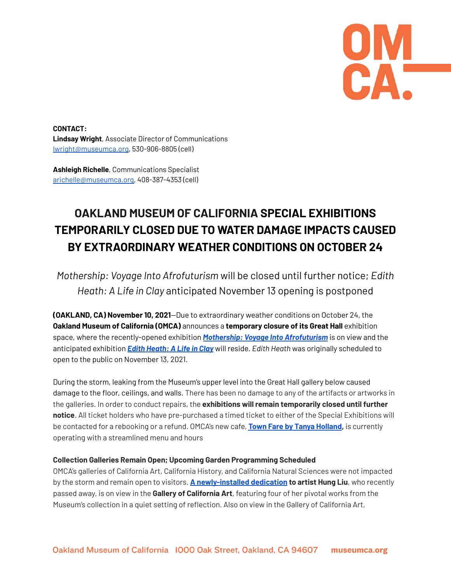UM<br>CA

**CONTACT: Lindsay Wright**, Associate Director of Communications lwright@museumca.org, 530-906-8805 (cell)

**Ashleigh Richelle**, Communications Specialist [arichelle@museumca.org,](mailto:arichelle@museumca.org) 408-387-4353 (cell)

## **OAKLAND MUSEUM OF CALIFORNIA SPECIAL EXHIBITIONS TEMPORARILY CLOSED DUE TO WATER DAMAGE IMPACTS CAUSED BY EXTRAORDINARY WEATHER CONDITIONS ON OCTOBER 24**

*Mothership: Voyage Into Afrofuturism* will be closed until further notice; *Edith Heath: A Life in Clay* anticipated November 13 opening is postponed

**(OAKLAND, CA) November 10, 2021**—Due to extraordinary weather conditions on October 24, the **Oakland Museum of California (OMCA)** announces a **temporary closure of its Great Hall** exhibition space, where the recently-opened exhibition *Mothership: Voyage Into [Afrofuturism](https://museumca.org/exhibit/mothership-voyage-afrofuturism)* is on view and the anticipated exhibition *Edith [Heath:](https://museumca.org/exhibit/edith-heath-life-clay) A Life in Clay* will reside. *Edith Heath* was originally scheduled to open to the public on November 13, 2021.

During the storm, leaking from the Museum's upper level into the Great Hall gallery below caused damage to the floor, ceilings, and walls. There has been no damage to any of the artifacts or artworks in the galleries. In order to conduct repairs, the **exhibitions will remain temporarily closed until further notice**. All ticket holders who have pre-purchased a timed ticket to either of the Special Exhibitions will be contacted for a rebooking or a refund. OMCA's new cafe, **Town Fare by Tanya [Holland](https://museumca.org/caf%C3%A9),** is currently operating with a streamlined menu and hours

## **Collection Galleries Remain Open; Upcoming Garden Programming Scheduled**

OMCA's galleries of California Art, California History, and California Natural Sciences were not impacted by the storm and remain open to visitors. **A [newly-installed](https://museumca.org/projects/remembering-artist-hung-liu) dedication to artist Hung Liu**, who recently passed away, is on view in the **Gallery of California Art**, featuring four of her pivotal works from the Museum's collection in a quiet setting of reflection. Also on view in the Gallery of California Art,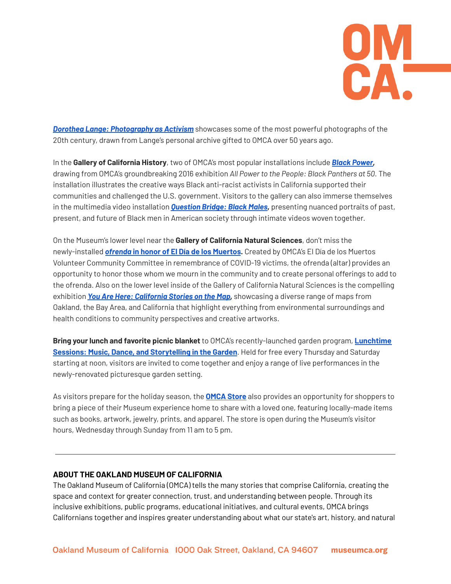

*Dorothea Lange: [Photography](https://museumca.org/projects/dorothea-lange-photography-activism) as Activism* showcases some of the most powerful photographs of the 20th century, drawn from Lange's personal archive gifted to OMCA over 50 years ago.

In the **Gallery of California History**, two of OMCA's most popular installations include *Black [Power,](https://museumca.org/projects/black-power)* drawing from OMCA's groundbreaking 2016 exhibition *All Power to the People: Black Panthers at 50.* The installation illustrates the creative ways Black anti-racist activists in California supported their communities and challenged the U.S. government. Visitors to the gallery can also immerse themselves in the multimedia video installation *[Question](https://museumca.org/projects/question-bridge-black-males) Bridge: Black Males,* presenting nuanced portraits of past, present, and future of Black men in American society through intimate videos woven together.

On the Museum's lower level near the **Gallery of California Natural Sciences**, don't miss the newly-installed *ofrenda* **in honor of El Día de los [Muertos](https://museumca.org/el-dia-de-los-muertos).** Created by OMCA's El Día de los Muertos Volunteer Community Committee in remembrance of COVID-19 victims, the ofrenda (altar) provides an opportunity to honor those whom we mourn in the community and to create personal offerings to add to the ofrenda. Also on the lower level inside of the Gallery of California Natural Sciences is the compelling exhibition *You Are Here: [California](https://museumca.org/exhibit/you-are-here-california-stories-map) Stories on the Map,* showcasing a diverse range of maps from Oakland, the Bay Area, and California that highlight everything from environmental surroundings and health conditions to community perspectives and creative artworks.

**Bring your lunch and favorite picnic blanket** to OMCA's recently-launched garden program, **[Lunchtime](https://museumca.org/lunchtime-sessions) Sessions: Music, Dance, and [Storytelling](https://museumca.org/lunchtime-sessions) in the Garden**. Held for free every Thursday and Saturday starting at noon, visitors are invited to come together and enjoy a range of live performances in the newly-renovated picturesque garden setting.

As visitors prepare for the holiday season, the **[OMCA](https://museumca.org/omca-store) Store** also provides an opportunity for shoppers to bring a piece of their Museum experience home to share with a loved one, featuring locally-made items such as books, artwork, jewelry, prints, and apparel. The store is open during the Museum's visitor hours, Wednesday through Sunday from 11 am to 5 pm.

## **ABOUT THE OAKLAND MUSEUM OF CALIFORNIA**

The Oakland Museum of California (OMCA) tells the many stories that comprise California, creating the space and context for greater connection, trust, and understanding between people. Through its inclusive exhibitions, public programs, educational initiatives, and cultural events, OMCA brings Californians together and inspires greater understanding about what our state's art, history, and natural